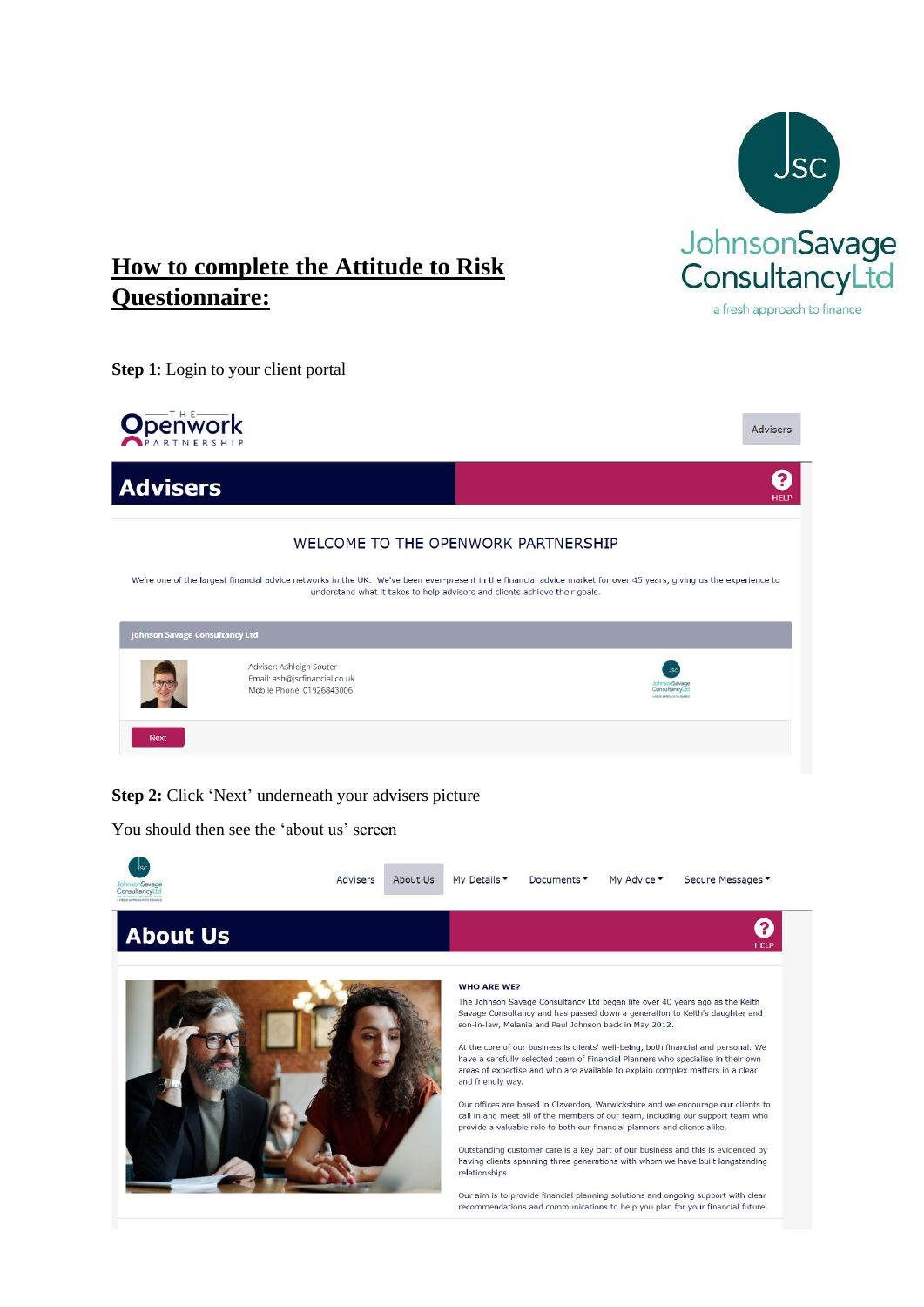

## **How to complete the Attitude to Risk Questionnaire:**

**Step 1**: Login to your client portal



## **Step 2:** Click 'Next' underneath your advisers picture

You should then see the 'about us' screen

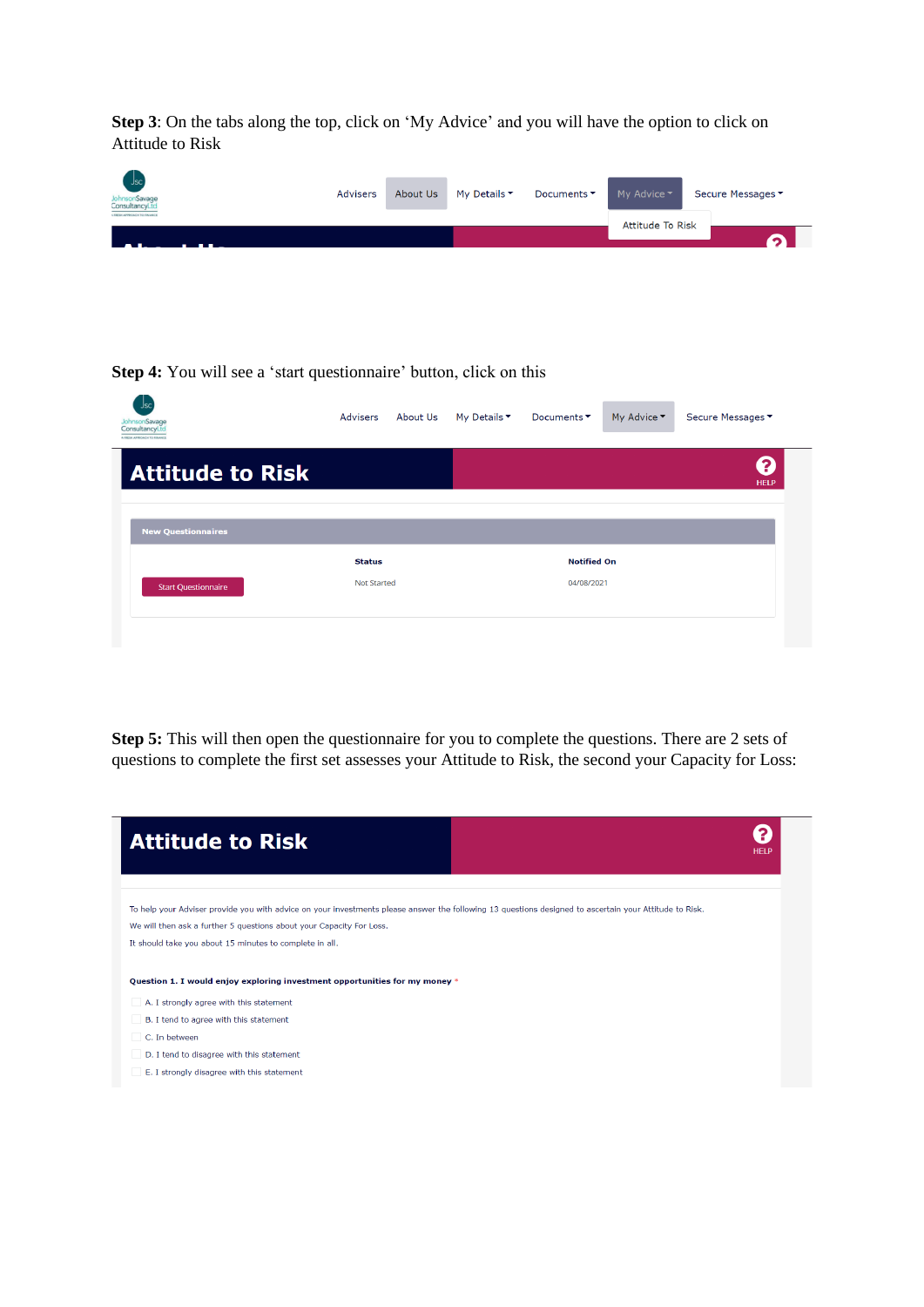**Step 3**: On the tabs along the top, click on 'My Advice' and you will have the option to click on Attitude to Risk

| <b>Jsc</b><br>JohnsonSavage<br>ConsultancyLtd | Advisers | About Us | My Details $\blacktriangledown$ | Documents ▼ | My Advice $\blacktriangledown$ | Secure Messages ▼ |  |
|-----------------------------------------------|----------|----------|---------------------------------|-------------|--------------------------------|-------------------|--|
| SI APPROACH TO ERANCE                         |          |          |                                 |             | <b>Attitude To Risk</b>        |                   |  |
| .<br>.                                        |          |          |                                 |             |                                |                   |  |
|                                               |          |          |                                 |             |                                |                   |  |

## **Step 4:** You will see a 'start questionnaire' button, click on this

| <b>Jsc</b><br>JohnsonSavage<br>ConsultancyLtd<br>A FRESH APPROACH TO FINANCE | Advisers<br>About Us | My Details $\blacktriangledown$ | My Advice $\blacktriangledown$<br>Documents ▼ | Secure Messages ▼ |
|------------------------------------------------------------------------------|----------------------|---------------------------------|-----------------------------------------------|-------------------|
| <b>Attitude to Risk</b>                                                      |                      |                                 |                                               | 2<br><b>HELP</b>  |
| <b>New Questionnaires</b>                                                    |                      |                                 |                                               |                   |
|                                                                              | <b>Status</b>        |                                 | <b>Notified On</b>                            |                   |
| <b>Start Questionnaire</b>                                                   | <b>Not Started</b>   |                                 | 04/08/2021                                    |                   |
|                                                                              |                      |                                 |                                               |                   |

**Step 5:** This will then open the questionnaire for you to complete the questions. There are 2 sets of questions to complete the first set assesses your Attitude to Risk, the second your Capacity for Loss:

| <b>Attitude to Risk</b>                                                                                                                                                                                                        | <b>HELP</b> |
|--------------------------------------------------------------------------------------------------------------------------------------------------------------------------------------------------------------------------------|-------------|
|                                                                                                                                                                                                                                |             |
| To help your Adviser provide you with advice on your investments please answer the following 13 questions designed to ascertain your Attitude to Risk.<br>We will then ask a further 5 questions about your Capacity For Loss. |             |
| It should take you about 15 minutes to complete in all.                                                                                                                                                                        |             |
|                                                                                                                                                                                                                                |             |
| Question 1. I would enjoy exploring investment opportunities for my money *                                                                                                                                                    |             |
| A. I strongly agree with this statement                                                                                                                                                                                        |             |
| B. I tend to agree with this statement                                                                                                                                                                                         |             |
| C. In between                                                                                                                                                                                                                  |             |
| D. I tend to disagree with this statement                                                                                                                                                                                      |             |
| E. I strongly disagree with this statement                                                                                                                                                                                     |             |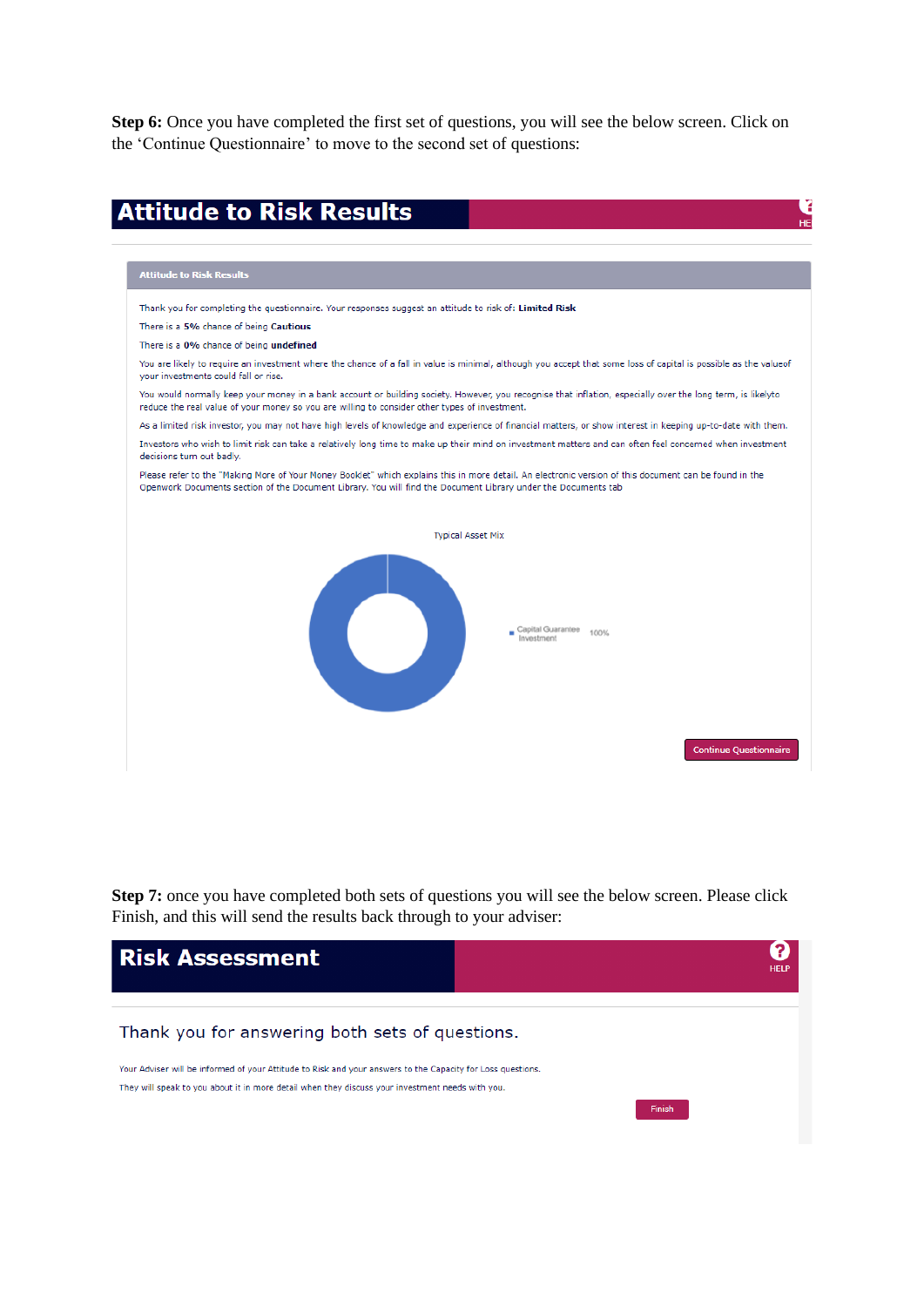**Step 6:** Once you have completed the first set of questions, you will see the below screen. Click on the 'Continue Questionnaire' to move to the second set of questions:



**Step 7:** once you have completed both sets of questions you will see the below screen. Please click Finish, and this will send the results back through to your adviser: